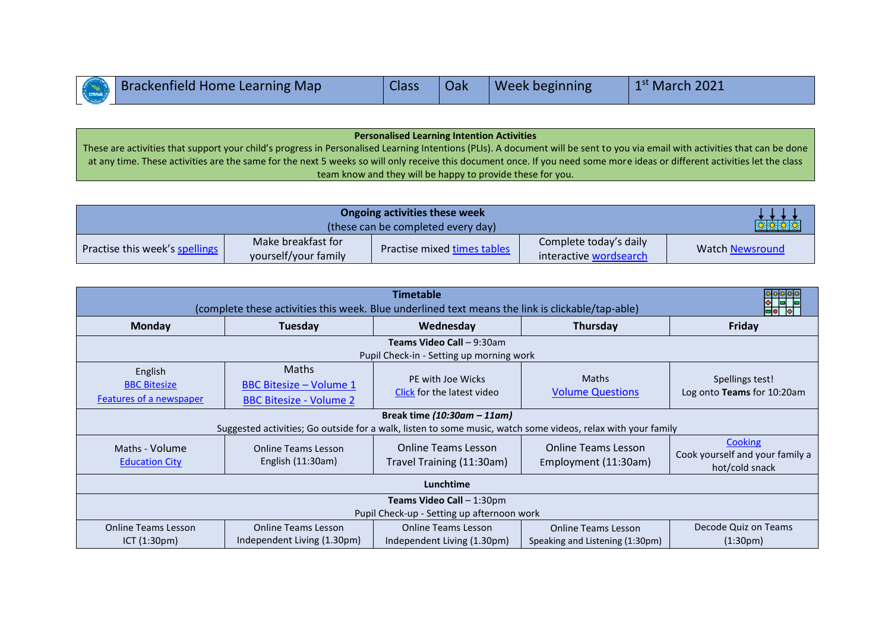|  | Brackenfield Home Learning Map | <b>Class</b> | Oak | Week beginning | $1st$ March 2021 |
|--|--------------------------------|--------------|-----|----------------|------------------|
|--|--------------------------------|--------------|-----|----------------|------------------|

**Personalised Learning Intention Activities** These are activities that support your child's progress in Personalised Learning Intentions (PLIs). A document will be sent to you via email with activities that can be done at any time. These activities are the same for the next 5 weeks so will only receive this document once. If you need some more ideas or different activities let the class team know and they will be happy to provide these for you.

|                                | <b>文文文文</b>                                |                             |                                                  |                        |
|--------------------------------|--------------------------------------------|-----------------------------|--------------------------------------------------|------------------------|
| Practise this week's spellings | Make breakfast for<br>yourself/your family | Practise mixed times tables | Complete today's daily<br>interactive wordsearch | <b>Watch Newsround</b> |

| <b>Timetable</b><br>(complete these activities this week. Blue underlined text means the link is clickable/tap-able)                          |                                                                                  |                                                           |                                                               |                                                              |  |
|-----------------------------------------------------------------------------------------------------------------------------------------------|----------------------------------------------------------------------------------|-----------------------------------------------------------|---------------------------------------------------------------|--------------------------------------------------------------|--|
| <b>Monday</b>                                                                                                                                 | Tuesday                                                                          | Wednesday                                                 | <b>Thursday</b>                                               | <b>Friday</b>                                                |  |
| Teams Video Call - 9:30am<br>Pupil Check-in - Setting up morning work                                                                         |                                                                                  |                                                           |                                                               |                                                              |  |
| English<br><b>BBC Bitesize</b><br>Features of a newspaper                                                                                     | <b>Maths</b><br><b>BBC Bitesize - Volume 1</b><br><b>BBC Bitesize - Volume 2</b> | PE with Joe Wicks<br>Click for the latest video           | <b>Maths</b><br><b>Volume Questions</b>                       | Spellings test!<br>Log onto Teams for 10:20am                |  |
| Break time $(10:30am - 11am)$<br>Suggested activities; Go outside for a walk, listen to some music, watch some videos, relax with your family |                                                                                  |                                                           |                                                               |                                                              |  |
| Maths - Volume<br><b>Education City</b>                                                                                                       | Online Teams Lesson<br>English $(11:30am)$                                       | <b>Online Teams Lesson</b><br>Travel Training (11:30am)   | <b>Online Teams Lesson</b><br>Employment (11:30am)            | Cooking<br>Cook yourself and your family a<br>hot/cold snack |  |
| Lunchtime                                                                                                                                     |                                                                                  |                                                           |                                                               |                                                              |  |
| <b>Teams Video Call - 1:30pm</b><br>Pupil Check-up - Setting up afternoon work                                                                |                                                                                  |                                                           |                                                               |                                                              |  |
| <b>Online Teams Lesson</b><br>ICT (1:30pm)                                                                                                    | <b>Online Teams Lesson</b><br>Independent Living (1.30pm)                        | <b>Online Teams Lesson</b><br>Independent Living (1.30pm) | <b>Online Teams Lesson</b><br>Speaking and Listening (1:30pm) | Decode Quiz on Teams<br>(1:30 <sub>pm</sub> )                |  |